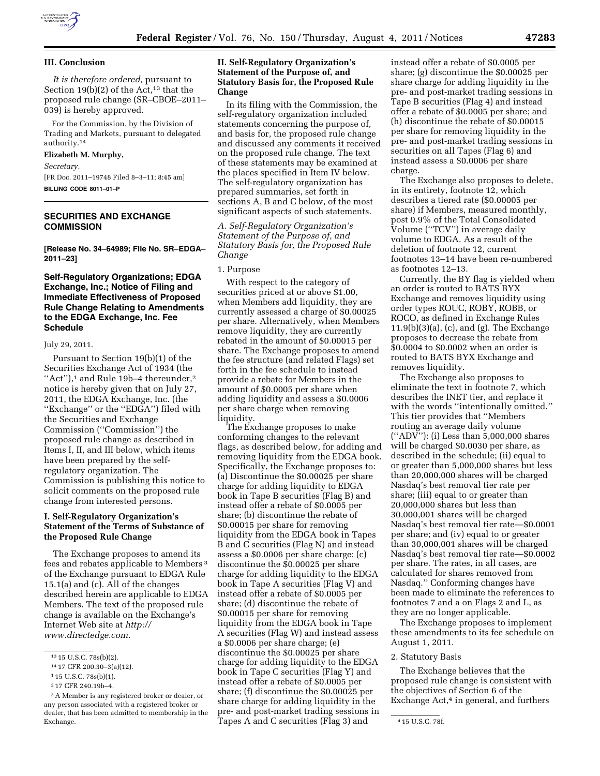

## **III. Conclusion**

*It is therefore ordered,* pursuant to Section  $19(b)(2)$  of the Act,<sup>13</sup> that the proposed rule change (SR–CBOE–2011– 039) is hereby approved.

For the Commission, by the Division of Trading and Markets, pursuant to delegated authority.14

### **Elizabeth M. Murphy,**

*Secretary.* 

[FR Doc. 2011–19748 Filed 8–3–11; 8:45 am] **BILLING CODE 8011–01–P** 

# **SECURITIES AND EXCHANGE COMMISSION**

**[Release No. 34–64989; File No. SR–EDGA– 2011–23]** 

# **Self-Regulatory Organizations; EDGA Exchange, Inc.; Notice of Filing and Immediate Effectiveness of Proposed Rule Change Relating to Amendments to the EDGA Exchange, Inc. Fee Schedule**

### July 29, 2011.

Pursuant to Section 19(b)(1) of the Securities Exchange Act of 1934 (the "Act"), $<sup>1</sup>$  and Rule 19b-4 thereunder, $<sup>2</sup>$ </sup></sup> notice is hereby given that on July 27, 2011, the EDGA Exchange, Inc. (the ''Exchange'' or the ''EDGA'') filed with the Securities and Exchange Commission (''Commission'') the proposed rule change as described in Items I, II, and III below, which items have been prepared by the selfregulatory organization. The Commission is publishing this notice to solicit comments on the proposed rule change from interested persons.

# **I. Self-Regulatory Organization's Statement of the Terms of Substance of the Proposed Rule Change**

The Exchange proposes to amend its fees and rebates applicable to Members 3 of the Exchange pursuant to EDGA Rule 15.1(a) and (c). All of the changes described herein are applicable to EDGA Members. The text of the proposed rule change is available on the Exchange's Internet Web site at *[http://](http://www.directedge.com) [www.directedge.com](http://www.directedge.com)*.

# **II. Self-Regulatory Organization's Statement of the Purpose of, and Statutory Basis for, the Proposed Rule Change**

In its filing with the Commission, the self-regulatory organization included statements concerning the purpose of, and basis for, the proposed rule change and discussed any comments it received on the proposed rule change. The text of these statements may be examined at the places specified in Item IV below. The self-regulatory organization has prepared summaries, set forth in sections A, B and C below, of the most significant aspects of such statements.

*A. Self-Regulatory Organization's Statement of the Purpose of, and Statutory Basis for, the Proposed Rule Change* 

#### 1. Purpose

With respect to the category of securities priced at or above \$1.00, when Members add liquidity, they are currently assessed a charge of \$0.00025 per share. Alternatively, when Members remove liquidity, they are currently rebated in the amount of \$0.00015 per share. The Exchange proposes to amend the fee structure (and related Flags) set forth in the fee schedule to instead provide a rebate for Members in the amount of \$0.0005 per share when adding liquidity and assess a \$0.0006 per share charge when removing liquidity.

The Exchange proposes to make conforming changes to the relevant flags, as described below, for adding and removing liquidity from the EDGA book. Specifically, the Exchange proposes to: (a) Discontinue the \$0.00025 per share charge for adding liquidity to EDGA book in Tape B securities (Flag B) and instead offer a rebate of \$0.0005 per share; (b) discontinue the rebate of \$0.00015 per share for removing liquidity from the EDGA book in Tapes B and C securities (Flag N) and instead assess a \$0.0006 per share charge; (c) discontinue the \$0.00025 per share charge for adding liquidity to the EDGA book in Tape A securities (Flag V) and instead offer a rebate of \$0.0005 per share; (d) discontinue the rebate of \$0.00015 per share for removing liquidity from the EDGA book in Tape A securities (Flag W) and instead assess a \$0.0006 per share charge; (e) discontinue the \$0.00025 per share charge for adding liquidity to the EDGA book in Tape C securities (Flag Y) and instead offer a rebate of \$0.0005 per share; (f) discontinue the \$0.00025 per share charge for adding liquidity in the pre- and post-market trading sessions in

instead offer a rebate of \$0.0005 per share; (g) discontinue the \$0.00025 per share charge for adding liquidity in the pre- and post-market trading sessions in Tape B securities (Flag 4) and instead offer a rebate of \$0.0005 per share; and (h) discontinue the rebate of \$0.00015 per share for removing liquidity in the pre- and post-market trading sessions in securities on all Tapes (Flag 6) and instead assess a \$0.0006 per share charge.

The Exchange also proposes to delete, in its entirety, footnote 12, which describes a tiered rate (\$0.00005 per share) if Members, measured monthly, post 0.9% of the Total Consolidated Volume (''TCV'') in average daily volume to EDGA. As a result of the deletion of footnote 12, current footnotes 13–14 have been re-numbered as footnotes 12–13.

Currently, the BY flag is yielded when an order is routed to BATS BYX Exchange and removes liquidity using order types ROUC, ROBY, ROBB, or ROCO, as defined in Exchange Rules 11.9(b)(3)(a), (c), and (g). The Exchange proposes to decrease the rebate from \$0.0004 to \$0.0002 when an order is routed to BATS BYX Exchange and removes liquidity.

The Exchange also proposes to eliminate the text in footnote 7, which describes the INET tier, and replace it with the words "intentionally omitted." This tier provides that ''Members routing an average daily volume (''ADV''): (i) Less than 5,000,000 shares will be charged \$0.0030 per share, as described in the schedule; (ii) equal to or greater than 5,000,000 shares but less than 20,000,000 shares will be charged Nasdaq's best removal tier rate per share; (iii) equal to or greater than 20,000,000 shares but less than 30,000,001 shares will be charged Nasdaq's best removal tier rate—\$0.0001 per share; and (iv) equal to or greater than 30,000,001 shares will be charged Nasdaq's best removal tier rate—\$0.0002 per share. The rates, in all cases, are calculated for shares removed from Nasdaq.'' Conforming changes have been made to eliminate the references to footnotes 7 and a on Flags 2 and L, as they are no longer applicable.

The Exchange proposes to implement these amendments to its fee schedule on August 1, 2011.

### 2. Statutory Basis

The Exchange believes that the proposed rule change is consistent with the objectives of Section 6 of the Exchange  $Act<sup>4</sup>$  in general, and furthers

<sup>13</sup> 15 U.S.C. 78s(b)(2).

<sup>14</sup> 17 CFR 200.30–3(a)(12).

<sup>1</sup> 15 U.S.C. 78s(b)(1).

<sup>2</sup> 17 CFR 240.19b–4.

<sup>3</sup>A Member is any registered broker or dealer, or any person associated with a registered broker or dealer, that has been admitted to membership in the Exchange. 4 15 U.S.C. 78f. Tapes A and C securities (Flag 3) and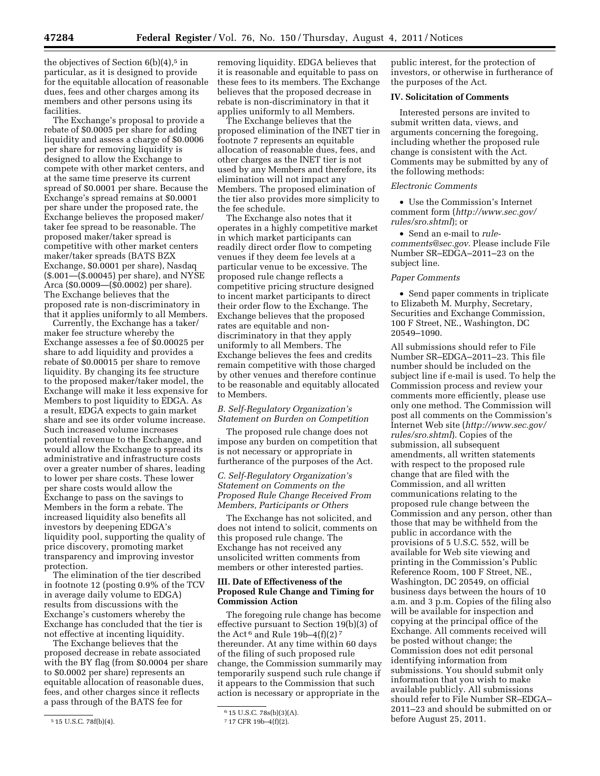the objectives of Section  $6(b)(4)$ ,<sup>5</sup> in particular, as it is designed to provide for the equitable allocation of reasonable dues, fees and other charges among its members and other persons using its facilities.

The Exchange's proposal to provide a rebate of \$0.0005 per share for adding liquidity and assess a charge of \$0.0006 per share for removing liquidity is designed to allow the Exchange to compete with other market centers, and at the same time preserve its current spread of \$0.0001 per share. Because the Exchange's spread remains at \$0.0001 per share under the proposed rate, the Exchange believes the proposed maker/ taker fee spread to be reasonable. The proposed maker/taker spread is competitive with other market centers maker/taker spreads (BATS BZX Exchange, \$0.0001 per share), Nasdaq (\$.001—(\$.00045) per share), and NYSE Arca (\$0.0009—(\$0.0002) per share). The Exchange believes that the proposed rate is non-discriminatory in that it applies uniformly to all Members.

Currently, the Exchange has a taker/ maker fee structure whereby the Exchange assesses a fee of \$0.00025 per share to add liquidity and provides a rebate of \$0.00015 per share to remove liquidity. By changing its fee structure to the proposed maker/taker model, the Exchange will make it less expensive for Members to post liquidity to EDGA. As a result, EDGA expects to gain market share and see its order volume increase. Such increased volume increases potential revenue to the Exchange, and would allow the Exchange to spread its administrative and infrastructure costs over a greater number of shares, leading to lower per share costs. These lower per share costs would allow the Exchange to pass on the savings to Members in the form a rebate. The increased liquidity also benefits all investors by deepening EDGA's liquidity pool, supporting the quality of price discovery, promoting market transparency and improving investor protection.

The elimination of the tier described in footnote 12 (posting 0.9% of the TCV in average daily volume to EDGA) results from discussions with the Exchange's customers whereby the Exchange has concluded that the tier is not effective at incenting liquidity.

The Exchange believes that the proposed decrease in rebate associated with the BY flag (from \$0.0004 per share to \$0.0002 per share) represents an equitable allocation of reasonable dues, fees, and other charges since it reflects a pass through of the BATS fee for

removing liquidity. EDGA believes that it is reasonable and equitable to pass on these fees to its members. The Exchange believes that the proposed decrease in rebate is non-discriminatory in that it applies uniformly to all Members.

The Exchange believes that the proposed elimination of the INET tier in footnote 7 represents an equitable allocation of reasonable dues, fees, and other charges as the INET tier is not used by any Members and therefore, its elimination will not impact any Members. The proposed elimination of the tier also provides more simplicity to the fee schedule.

The Exchange also notes that it operates in a highly competitive market in which market participants can readily direct order flow to competing venues if they deem fee levels at a particular venue to be excessive. The proposed rule change reflects a competitive pricing structure designed to incent market participants to direct their order flow to the Exchange. The Exchange believes that the proposed rates are equitable and nondiscriminatory in that they apply uniformly to all Members. The Exchange believes the fees and credits remain competitive with those charged by other venues and therefore continue to be reasonable and equitably allocated to Members.

## *B. Self-Regulatory Organization's Statement on Burden on Competition*

The proposed rule change does not impose any burden on competition that is not necessary or appropriate in furtherance of the purposes of the Act.

## *C. Self-Regulatory Organization's Statement on Comments on the Proposed Rule Change Received From Members, Participants or Others*

The Exchange has not solicited, and does not intend to solicit, comments on this proposed rule change. The Exchange has not received any unsolicited written comments from members or other interested parties.

# **III. Date of Effectiveness of the Proposed Rule Change and Timing for Commission Action**

The foregoing rule change has become effective pursuant to Section 19(b)(3) of the Act<sup>6</sup> and Rule 19b-4(f)(2)<sup>7</sup> thereunder. At any time within 60 days of the filing of such proposed rule change, the Commission summarily may temporarily suspend such rule change if it appears to the Commission that such action is necessary or appropriate in the

public interest, for the protection of investors, or otherwise in furtherance of the purposes of the Act.

### **IV. Solicitation of Comments**

Interested persons are invited to submit written data, views, and arguments concerning the foregoing, including whether the proposed rule change is consistent with the Act. Comments may be submitted by any of the following methods:

### *Electronic Comments*

• Use the Commission's Internet comment form (*[http://www.sec.gov/](http://www.sec.gov/rules/sro.shtml)  [rules/sro.shtml](http://www.sec.gov/rules/sro.shtml)*); or

• Send an e-mail to *[rule](mailto:rule-comments@sec.gov)[comments@sec.gov.](mailto:rule-comments@sec.gov)* Please include File Number SR–EDGA–2011–23 on the subject line.

#### *Paper Comments*

• Send paper comments in triplicate to Elizabeth M. Murphy, Secretary, Securities and Exchange Commission, 100 F Street, NE., Washington, DC 20549–1090.

All submissions should refer to File Number SR–EDGA–2011–23. This file number should be included on the subject line if e-mail is used. To help the Commission process and review your comments more efficiently, please use only one method. The Commission will post all comments on the Commission's Internet Web site (*[http://www.sec.gov/](http://www.sec.gov/rules/sro.shtml)  [rules/sro.shtml](http://www.sec.gov/rules/sro.shtml)*). Copies of the submission, all subsequent amendments, all written statements with respect to the proposed rule change that are filed with the Commission, and all written communications relating to the proposed rule change between the Commission and any person, other than those that may be withheld from the public in accordance with the provisions of 5 U.S.C. 552, will be available for Web site viewing and printing in the Commission's Public Reference Room, 100 F Street, NE., Washington, DC 20549, on official business days between the hours of 10 a.m. and 3 p.m. Copies of the filing also will be available for inspection and copying at the principal office of the Exchange. All comments received will be posted without change; the Commission does not edit personal identifying information from submissions. You should submit only information that you wish to make available publicly. All submissions should refer to File Number SR–EDGA– 2011–23 and should be submitted on or before August 25, 2011.

<sup>5</sup> 15 U.S.C. 78f(b)(4).

<sup>6</sup> 15 U.S.C. 78s(b)(3)(A).

<sup>7</sup> 17 CFR 19b–4(f)(2).